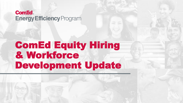### **Com&d Energy Efficiency Program**

# ComEd Equity Hiring & Workforce Development Update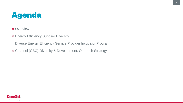## Agenda

>> Overview

Energy Efficiency Supplier Diversity

Diverse Energy Efficiency Service Provider Incubator Program

Channel (CBO) Diversity & Development: Outreach Strategy

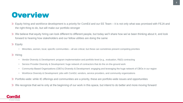### **Overview**

- Equity hiring and workforce development is a priority for ComEd and our EE Team it is not only what was promised with FEJA and the right thing to do, but will make our portfolio stronger
- We believe that equity hiring can look different to different people, but today we'll share how we've been thinking about it, and look forward to hearing how stakeholders and our fellow utilities are doing the same

 $\gg$  Equity

- Minorities, women, local, specific communities all are critical, but these can sometimes present competing priorities
- $\gg$  Hiring
	- Vendor Diversity & Development: program implementation and portfolio-level (e.g., evaluation, R&D) contracting
	- Service Provider Diversity & Development: huge network of contractors that do the on-the-ground work
	- Community-Based Organizations (CBO's) Diversity & Development: engaging and leveraging the huge network of CBOs in our region
	- Workforce Diversity & Development: jobs with ComEd, vendors, service providers, and community organizations
- Portfolio-wide: while IE offerings and communities are a priority, these are portfolio-wide issues and opportunities
- We recognize that we're only at the beginning of our work in this space, but intend to do better and more moving forward

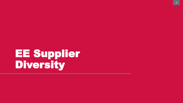# EE Supplier Diversity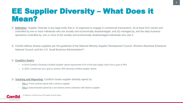### EE Supplier Diversity – What Does it Mean?

- **Definition**: Supplier Diversity is any legal entity that is: (i) organized to engage in commercial transactions; (ii) at least 51% owned and controlled by one or more individuals who are socially and economically disadvantaged; and (iii) managed by, and the daily business operations controlled by, one or more of the socially and economically disadvantaged individuals who own it
- ComEd defines diverse suppliers per the guidelines of the National Minority Supplier Development Council, Women's Business Enterprise National Council, and the U.S. Small Business Administration(1)

### **ComEd's Goal's**:

- In 2019 ComEd's Diversity-Certified Supplier spend represented 41% of the total supply chain from a goal of 39%
- In 2020, ComEd has set a goal to achieve 40% diversity-certified supplier spend
- **Tracking and Reporting: ComEd's tracks supplier diversity spend by:** 
	- **Tier 1**: Prime contract spend with a diverse supplier
	- **Tier 2**: Subcontracted spend by a non-diverse prime contractor with diverse supplier

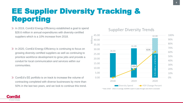## EE Supplier Diversity Tracking & Reporting

- $\gg$  In 2019, ComEd Energy Efficiency established a goal to spend \$28.6 million in annual expenditures with diversity-certified suppliers which is a 10% increase from 2018.
- $\gg$  In 2020, ComEd Energy Efficiency is continuing to focus on growing diversity-certified suppliers as well as continuing to prioritize workforce development to grow jobs and provide a conduit for local communication and services within our communities.
- ComEd's EE portfolio is on track to increase the volume of contracting completed with diverse businesses by more than 50% in the last two years, and we look to continue this trend.

### Supplier Diversity Trends



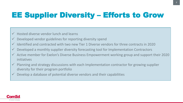# EE Supplier Diversity – Efforts to Grow

- $\checkmark$  Hosted diverse vendor lunch and learns
- $\checkmark$  Developed vendor guidelines for reporting diversity spend
- ✓ Identified and contracted with two new Tier 1 Diverse vendors for three contracts in 2020
- ✓ Developed a monthly supplier diversity forecasting tool for Implementation Contractors
- ✓ Active member for Exelon's Diverse Business Empowerment working group and support their 2020 initiatives
- ✓ Planning and strategy discussions with each Implementation contractor for growing supplier diversity for their program portfolio
- $\checkmark$  Develop a database of potential diverse vendors and their capabilities

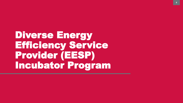Diverse Energy Efficiency Service Provider (EESP) Incubator Program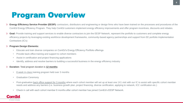## Program Overview

- **Energy Efficiency Service Provider (EESP):** contractors, distributors and engineering or design firms who have been trained on the processes and procedures of the ComEd Energy Efficiency Program. They help ComEd customers implement energy efficiency improvements and offer program incentives, discounts and rebates.
- **Goal:** Provide training and support services to enable diverse contractors to join the EESP Network, represent the portfolio to customers and complete energy efficiency projects by leveraging existing workforce development frameworks, community-based agency partnerships and support from EE portfolio Implementation Contractors (IC's)

#### **Program Design Elements:**   $\gg$

- Educate and train diverse companies on ComEd's Energy Efficiency Portfolio offerings
- Provide back-office training and support to cohort members
- Assist in certification and project financing applications
- Identify, address and resolve barriers to building a successful business in the energy efficiency industry

#### **Duration:** Total program duration is **12 months**  $\gg$

- 8 week in-class training program held over 3 months
- Graduation Ceremony
- Post-graduation back office support for 3 months where each cohort member will set up at least one 1X1 visit with our IC to assist with specific cohort member needs and address any barriers (i.e. business growth plan, project financing, diverse certification, applying to network, ICC certification etc.)
- Check in call with each cohort member 6 months after cohort member has joined ComEd's EESP Network.

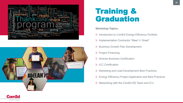



### Training & Graduation

### **Workshop Topics:**

- X Introduction to ComEd Energy Efficiency Portfolio
- Implementation Contractor "Meet 'n' Greet"
- >> Business Growth Plan Development
- >> Project Financing
- Diverse Business Certification
- >> ICC Certification
- Marketing and Lead Development Best Practices
- Energy Efficiency Project Application and Best Practices
- $\gg$  Networking with the ComEd EE Team and IC's

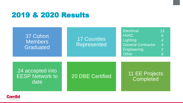### 2019 & 2020 Results



![](_page_10_Picture_2.jpeg)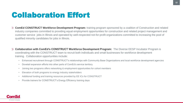## Collaboration Effort

- **ComEd CONSTRUCT Workforce Development Program:** training program sponsored by a coalition of Construction and related industry companies committed to providing equal employment opportunities for construction and related project management and customer service jobs in Illinois and operated by well-respected not-for-profit organizations committed to increasing the pool of qualified minority candidates for jobs in Illinois.
- **Collaboration with ComEd's CONSTRUCT Workforce Development Program:** The Diverse EESP Incubator Program is coordinating with the CONSTRUCT team to recruit both individuals and small businesses for workforce development training. Collaboration opportunities include:
	- Enhanced recruitment through CONSTRUCT's relationships with Community Base Organizations and local workforce development agencies
	- Dovetail expansion efforts into other parts of ComEd's service territory
	- Joining two programs offers networking & employment opportunities for cohort members
	- Elevation of both programs to energy industry stakeholders
	- Additional funding and training resources provided by EE ICs for CONSTRUCT
	- Provide trainers for CONSTRUCT's Energy Efficiency training days

![](_page_11_Picture_9.jpeg)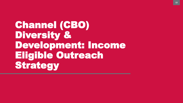Channel (CBO) Diversity & Development: Income Eligible Outreach Strategy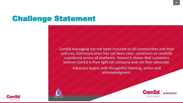## Challenge Statement

ComEd messaging has not been inclusive to all communities and their cultures. Communication has not been clear, consistent or carefully considered across all platforms. Research shows that customers believe ComEd is their light bill company and not their advocate.

> Advocacy begins with thoughtful listening, action and acknowledgment.

![](_page_13_Picture_3.jpeg)

An Exelon Compan

![](_page_13_Picture_4.jpeg)

powering lives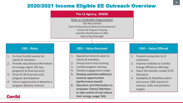### 2020/2021 Income Eligible EE Outreach Overview

|                                                                                                                                                                                                                                                                                           | The L3 Agency, MWBE<br>Role as Umbrella Organization<br><b>CBO Recruitment</b><br>Event & Educational Material Development<br><b>Content &amp; Program Training</b><br><b>Incentive Distribution to CBOs</b><br>Day-to-Day Oversight                                                                                  |                                                                                                                                                                                                                                                                                               |
|-------------------------------------------------------------------------------------------------------------------------------------------------------------------------------------------------------------------------------------------------------------------------------------------|-----------------------------------------------------------------------------------------------------------------------------------------------------------------------------------------------------------------------------------------------------------------------------------------------------------------------|-----------------------------------------------------------------------------------------------------------------------------------------------------------------------------------------------------------------------------------------------------------------------------------------------|
| <b>CBO - Roles</b>                                                                                                                                                                                                                                                                        | <b>CBO - Value Received</b>                                                                                                                                                                                                                                                                                           | <b>CBO - Value Offered</b>                                                                                                                                                                                                                                                                    |
| Co-host ComEd events for<br>1.<br>clients & members<br>Provide educational information<br>2.<br>on energy mgmt. (EE tips,<br>programs & financial asst)<br>Drive EE (& financial asst)<br>3.<br>program participation<br>Future opportunity to become a<br>4.<br>program delivery channel | Expand services & value to<br>1.<br>clients & members<br>Virtual event host training<br>2.<br>ComEd program training<br>3.<br>Flexible engagement model<br>4.<br>Develop potential additional<br>5.<br>revenue opportunities<br>(performance-based)<br>Education and information to<br>6.<br>empower Clients/ Members | Trusted connection to IE<br>1.<br>customers<br>Improve visibility to ComEd<br>2.<br><b>Energy Efficiency offerings</b><br>Teach the teacher model of EE<br>3.<br>Education<br>Scalability & flexibility within<br>4.<br>and across CBOs based on<br>interest, skills and portfolio<br>targets |
|                                                                                                                                                                                                                                                                                           | to take control of and reduce<br>their energy usage/ bills                                                                                                                                                                                                                                                            |                                                                                                                                                                                                                                                                                               |

An Exelon Company